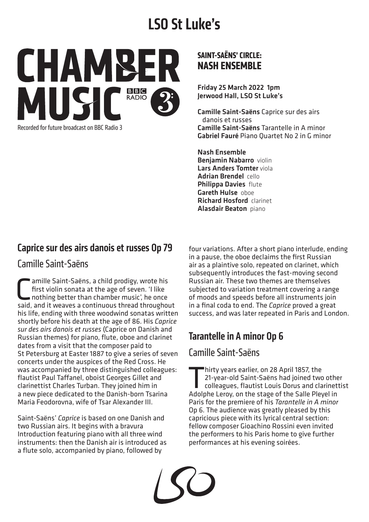# **LSO St Luke's**



Recorded for future broadcast on BBC Radio 3

#### **SAINT-SAËNS' CIRCLE: NASH ENSEMBLE**

Friday 25 March 2022 1pm Jerwood Hall, LSO St Luke's

Camille Saint-Saëns Caprice sur des airs danois et russes Camille Saint-Saëns Tarantelle in A minor Gabriel Fauré Piano Quartet No 2 in G minor

Nash Ensemble Benjamin Nabarro violin Lars Anders Tomter viola Adrian Brendel cello Philippa Davies flute Gareth Hulse oboe Richard Hosford clarinet Alasdair Beaton piano

### Caprice sur des airs danois et russes Op 79

#### Camille Saint-Saëns

**C** amille Saint-Saëns, a child prodigy, wrote his<br>first violin sonata at the age of seven. 'I like<br>nothing better than chamber music', he once<br>said and it weaves a continuous thread throughou first violin sonata at the age of seven. 'I like nothing better than chamber music', he once said, and it weaves a continuous thread throughout his life, ending with three woodwind sonatas written shortly before his death at the age of 86. His *Caprice sur des airs danois et russes* (Caprice on Danish and Russian themes) for piano, flute, oboe and clarinet dates from a visit that the composer paid to St Petersburg at Easter 1887 to give a series of seven concerts under the auspices of the Red Cross. He was accompanied by three distinguished colleagues: flautist Paul Taffanel, oboist Georges Gillet and clarinettist Charles Turban. They joined him in a new piece dedicated to the Danish-born Tsarina Maria Feodorovna, wife of Tsar Alexander III.

Saint-Saëns' *Caprice* is based on one Danish and two Russian airs. It begins with a bravura Introduction featuring piano with all three wind instruments: then the Danish air is introduced as a flute solo, accompanied by piano, followed by

four variations. After a short piano interlude, ending in a pause, the oboe declaims the first Russian air as a plaintive solo, repeated on clarinet, which subsequently introduces the fast-moving second Russian air. These two themes are themselves subjected to variation treatment covering a range of moods and speeds before all instruments join in a final coda to end. The *Caprice* proved a great success, and was later repeated in Paris and London.

## Tarantelle in A minor Op 6

#### Camille Saint-Saëns

hirty years earlier, on 28 April 1857, the<br>21-year-old Saint-Saëns had joined two<br>colleagues, flautist Louis Dorus and cla<br>Adolphe Leroy on the stage of the Salle Pley 21-year-old Saint-Saëns had joined two other colleagues, flautist Louis Dorus and clarinettist Adolphe Leroy, on the stage of the Salle Pleyel in Paris for the premiere of his *Tarantelle in A minor*  Op 6. The audience was greatly pleased by this capricious piece with its lyrical central section: fellow composer Gioachino Rossini even invited the performers to his Paris home to give further performances at his evening soirées.